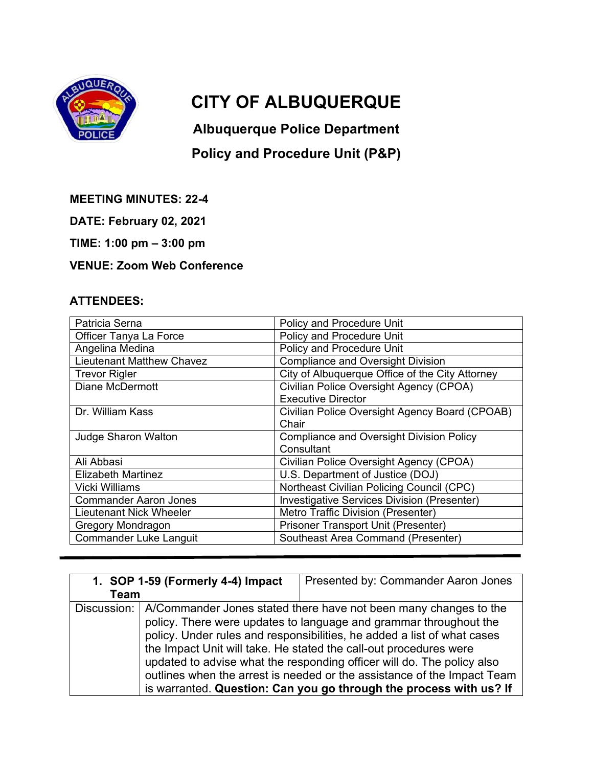

## **CITY OF ALBUQUERQUE**

**Albuquerque Police Department** 

## **Policy and Procedure Unit (P&P)**

**MEETING MINUTES: 22-4** 

**DATE: February 02, 2021** 

**TIME: 1:00 pm – 3:00 pm** 

## **VENUE: Zoom Web Conference**

## **ATTENDEES:**

| Patricia Serna                   | Policy and Procedure Unit                       |
|----------------------------------|-------------------------------------------------|
| Officer Tanya La Force           | Policy and Procedure Unit                       |
| Angelina Medina                  | Policy and Procedure Unit                       |
| <b>Lieutenant Matthew Chavez</b> | <b>Compliance and Oversight Division</b>        |
| <b>Trevor Rigler</b>             | City of Albuquerque Office of the City Attorney |
| <b>Diane McDermott</b>           | Civilian Police Oversight Agency (CPOA)         |
|                                  | <b>Executive Director</b>                       |
| Dr. William Kass                 | Civilian Police Oversight Agency Board (CPOAB)  |
|                                  | Chair                                           |
| <b>Judge Sharon Walton</b>       | <b>Compliance and Oversight Division Policy</b> |
|                                  | Consultant                                      |
| Ali Abbasi                       | Civilian Police Oversight Agency (CPOA)         |
| <b>Elizabeth Martinez</b>        | U.S. Department of Justice (DOJ)                |
| <b>Vicki Williams</b>            | Northeast Civilian Policing Council (CPC)       |
| <b>Commander Aaron Jones</b>     | Investigative Services Division (Presenter)     |
| Lieutenant Nick Wheeler          | Metro Traffic Division (Presenter)              |
| Gregory Mondragon                | Prisoner Transport Unit (Presenter)             |
| <b>Commander Luke Languit</b>    | <b>Southeast Area Command (Presenter)</b>       |

| 1. SOP 1-59 (Formerly 4-4) Impact | Presented by: Commander Aaron Jones                                                                                                                                                                                                                                                                                                                                                                                                                                                                              |
|-----------------------------------|------------------------------------------------------------------------------------------------------------------------------------------------------------------------------------------------------------------------------------------------------------------------------------------------------------------------------------------------------------------------------------------------------------------------------------------------------------------------------------------------------------------|
| Team                              |                                                                                                                                                                                                                                                                                                                                                                                                                                                                                                                  |
| Discussion:                       | A/Commander Jones stated there have not been many changes to the<br>policy. There were updates to language and grammar throughout the<br>policy. Under rules and responsibilities, he added a list of what cases<br>the Impact Unit will take. He stated the call-out procedures were<br>updated to advise what the responding officer will do. The policy also<br>outlines when the arrest is needed or the assistance of the Impact Team<br>is warranted. Question: Can you go through the process with us? If |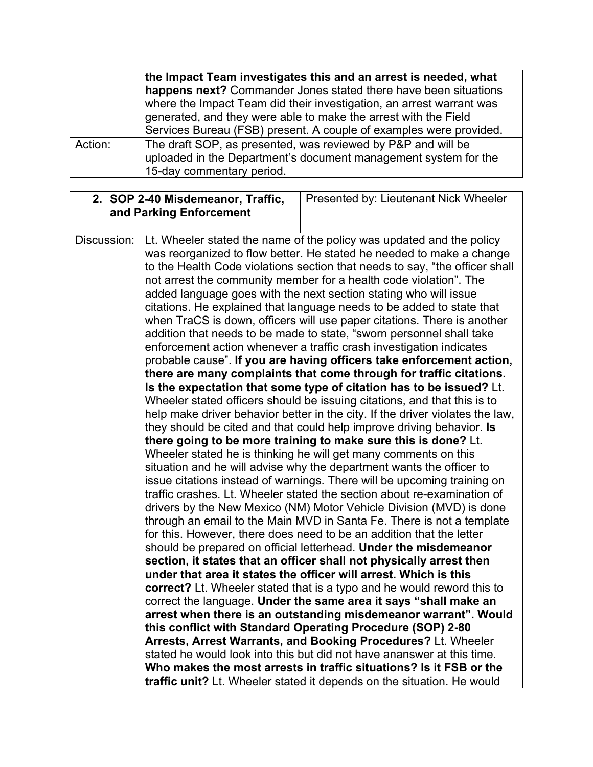|         | the Impact Team investigates this and an arrest is needed, what      |  |  |
|---------|----------------------------------------------------------------------|--|--|
|         | happens next? Commander Jones stated there have been situations      |  |  |
|         | where the Impact Team did their investigation, an arrest warrant was |  |  |
|         | generated, and they were able to make the arrest with the Field      |  |  |
|         | Services Bureau (FSB) present. A couple of examples were provided.   |  |  |
| Action: | The draft SOP, as presented, was reviewed by P&P and will be         |  |  |
|         | uploaded in the Department's document management system for the      |  |  |
|         | 15-day commentary period.                                            |  |  |

| Presented by: Lieutenant Nick Wheeler                                                                                                                                                                                                                                                                                                                                                                                                                                                                                                                                                                                                                                                                                                                                                                                                                                                                                                                                                                                                                                                                                                                                                                                                                                                                                                                                                                                                                                                                                                                                                                                                                                                                                                                                                                                                                                                                                                                                                                                                                                                                                                                                                                                                                                                                                                                                                                                                                                                                                         |
|-------------------------------------------------------------------------------------------------------------------------------------------------------------------------------------------------------------------------------------------------------------------------------------------------------------------------------------------------------------------------------------------------------------------------------------------------------------------------------------------------------------------------------------------------------------------------------------------------------------------------------------------------------------------------------------------------------------------------------------------------------------------------------------------------------------------------------------------------------------------------------------------------------------------------------------------------------------------------------------------------------------------------------------------------------------------------------------------------------------------------------------------------------------------------------------------------------------------------------------------------------------------------------------------------------------------------------------------------------------------------------------------------------------------------------------------------------------------------------------------------------------------------------------------------------------------------------------------------------------------------------------------------------------------------------------------------------------------------------------------------------------------------------------------------------------------------------------------------------------------------------------------------------------------------------------------------------------------------------------------------------------------------------------------------------------------------------------------------------------------------------------------------------------------------------------------------------------------------------------------------------------------------------------------------------------------------------------------------------------------------------------------------------------------------------------------------------------------------------------------------------------------------------|
| Lt. Wheeler stated the name of the policy was updated and the policy<br>was reorganized to flow better. He stated he needed to make a change<br>to the Health Code violations section that needs to say, "the officer shall<br>not arrest the community member for a health code violation". The<br>added language goes with the next section stating who will issue<br>citations. He explained that language needs to be added to state that<br>when TraCS is down, officers will use paper citations. There is another<br>addition that needs to be made to state, "sworn personnel shall take<br>enforcement action whenever a traffic crash investigation indicates<br>probable cause". If you are having officers take enforcement action,<br>there are many complaints that come through for traffic citations.<br>Is the expectation that some type of citation has to be issued? Lt.<br>Wheeler stated officers should be issuing citations, and that this is to<br>help make driver behavior better in the city. If the driver violates the law,<br>they should be cited and that could help improve driving behavior. Is<br>there going to be more training to make sure this is done? Lt.<br>Wheeler stated he is thinking he will get many comments on this<br>situation and he will advise why the department wants the officer to<br>issue citations instead of warnings. There will be upcoming training on<br>traffic crashes. Lt. Wheeler stated the section about re-examination of<br>drivers by the New Mexico (NM) Motor Vehicle Division (MVD) is done<br>through an email to the Main MVD in Santa Fe. There is not a template<br>for this. However, there does need to be an addition that the letter<br>should be prepared on official letterhead. Under the misdemeanor<br>section, it states that an officer shall not physically arrest then<br>under that area it states the officer will arrest. Which is this<br>correct? Lt. Wheeler stated that is a typo and he would reword this to<br>correct the language. Under the same area it says "shall make an<br>arrest when there is an outstanding misdemeanor warrant". Would<br>this conflict with Standard Operating Procedure (SOP) 2-80<br>Arrests, Arrest Warrants, and Booking Procedures? Lt. Wheeler<br>stated he would look into this but did not have ananswer at this time.<br>Who makes the most arrests in traffic situations? Is it FSB or the<br><b>traffic unit?</b> Lt. Wheeler stated it depends on the situation. He would |
|                                                                                                                                                                                                                                                                                                                                                                                                                                                                                                                                                                                                                                                                                                                                                                                                                                                                                                                                                                                                                                                                                                                                                                                                                                                                                                                                                                                                                                                                                                                                                                                                                                                                                                                                                                                                                                                                                                                                                                                                                                                                                                                                                                                                                                                                                                                                                                                                                                                                                                                               |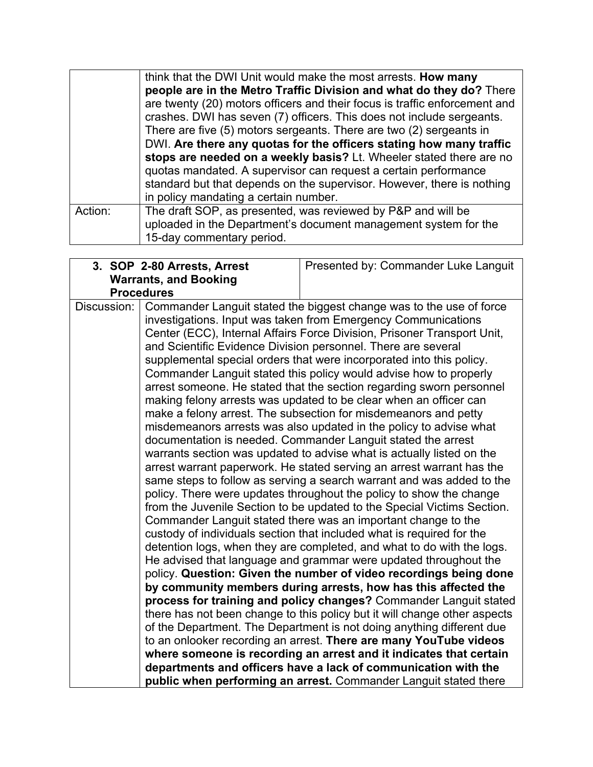|         | think that the DWI Unit would make the most arrests. How many<br>people are in the Metro Traffic Division and what do they do? There<br>are twenty (20) motors officers and their focus is traffic enforcement and<br>crashes. DWI has seven (7) officers. This does not include sergeants.<br>There are five (5) motors sergeants. There are two (2) sergeants in<br>DWI. Are there any quotas for the officers stating how many traffic<br>stops are needed on a weekly basis? Lt. Wheeler stated there are no<br>quotas mandated. A supervisor can request a certain performance |
|---------|-------------------------------------------------------------------------------------------------------------------------------------------------------------------------------------------------------------------------------------------------------------------------------------------------------------------------------------------------------------------------------------------------------------------------------------------------------------------------------------------------------------------------------------------------------------------------------------|
|         | standard but that depends on the supervisor. However, there is nothing<br>in policy mandating a certain number.                                                                                                                                                                                                                                                                                                                                                                                                                                                                     |
| Action: | The draft SOP, as presented, was reviewed by P&P and will be<br>uploaded in the Department's document management system for the<br>15-day commentary period.                                                                                                                                                                                                                                                                                                                                                                                                                        |

|             | 3. SOP 2-80 Arrests, Arrest                                                                                                            | Presented by: Commander Luke Languit                                      |
|-------------|----------------------------------------------------------------------------------------------------------------------------------------|---------------------------------------------------------------------------|
|             | <b>Warrants, and Booking</b>                                                                                                           |                                                                           |
|             | <b>Procedures</b>                                                                                                                      |                                                                           |
| Discussion: |                                                                                                                                        | Commander Languit stated the biggest change was to the use of force       |
|             |                                                                                                                                        | investigations. Input was taken from Emergency Communications             |
|             |                                                                                                                                        | Center (ECC), Internal Affairs Force Division, Prisoner Transport Unit,   |
|             | and Scientific Evidence Division personnel. There are several                                                                          |                                                                           |
|             |                                                                                                                                        | supplemental special orders that were incorporated into this policy.      |
|             |                                                                                                                                        | Commander Languit stated this policy would advise how to properly         |
|             |                                                                                                                                        | arrest someone. He stated that the section regarding sworn personnel      |
|             | making felony arrests was updated to be clear when an officer can                                                                      |                                                                           |
|             | make a felony arrest. The subsection for misdemeanors and petty                                                                        |                                                                           |
|             | misdemeanors arrests was also updated in the policy to advise what                                                                     |                                                                           |
|             | documentation is needed. Commander Languit stated the arrest                                                                           |                                                                           |
|             | warrants section was updated to advise what is actually listed on the                                                                  |                                                                           |
|             | arrest warrant paperwork. He stated serving an arrest warrant has the                                                                  |                                                                           |
|             | same steps to follow as serving a search warrant and was added to the                                                                  |                                                                           |
|             | policy. There were updates throughout the policy to show the change                                                                    |                                                                           |
|             | from the Juvenile Section to be updated to the Special Victims Section.                                                                |                                                                           |
|             | Commander Languit stated there was an important change to the<br>custody of individuals section that included what is required for the |                                                                           |
|             |                                                                                                                                        | detention logs, when they are completed, and what to do with the logs.    |
|             |                                                                                                                                        | He advised that language and grammar were updated throughout the          |
|             |                                                                                                                                        |                                                                           |
|             | policy. Question: Given the number of video recordings being done<br>by community members during arrests, how has this affected the    |                                                                           |
|             |                                                                                                                                        | process for training and policy changes? Commander Languit stated         |
|             |                                                                                                                                        | there has not been change to this policy but it will change other aspects |
|             |                                                                                                                                        | of the Department. The Department is not doing anything different due     |
|             |                                                                                                                                        | to an onlooker recording an arrest. There are many YouTube videos         |
|             | where someone is recording an arrest and it indicates that certain                                                                     |                                                                           |
|             | departments and officers have a lack of communication with the                                                                         |                                                                           |
|             |                                                                                                                                        | public when performing an arrest. Commander Languit stated there          |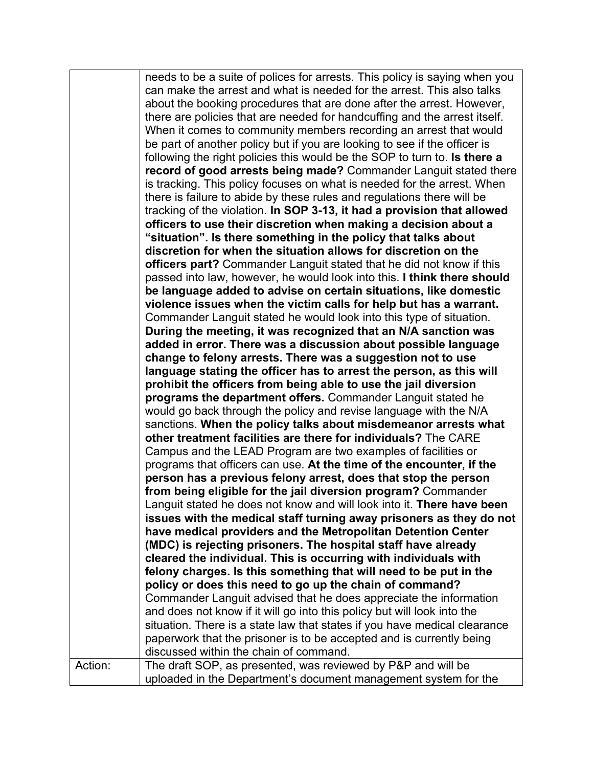needs to be a suite of polices for arrests. This policy is saying when you can make the arrest and what is needed for the arrest. This also talks about the booking procedures that are done after the arrest. However, there are policies that are needed for handcuffing and the arrest itself. When it comes to community members recording an arrest that would be part of another policy but if you are looking to see if the officer is following the right policies this would be the SOP to turn to. **Is there a record of good arrests being made?** Commander Languit stated there is tracking. This policy focuses on what is needed for the arrest. When there is failure to abide by these rules and regulations there will be tracking of the violation. **In SOP 3-13, it had a provision that allowed officers to use their discretion when making a decision about a "situation". Is there something in the policy that talks about discretion for when the situation allows for discretion on the officers part?** Commander Languit stated that he did not know if this passed into law, however, he would look into this. **I think there should be language added to advise on certain situations, like domestic violence issues when the victim calls for help but has a warrant.**  Commander Languit stated he would look into this type of situation. **During the meeting, it was recognized that an N/A sanction was added in error. There was a discussion about possible language change to felony arrests. There was a suggestion not to use language stating the officer has to arrest the person, as this will prohibit the officers from being able to use the jail diversion programs the department offers.** Commander Languit stated he would go back through the policy and revise language with the N/A sanctions. **When the policy talks about misdemeanor arrests what other treatment facilities are there for individuals?** The CARE Campus and the LEAD Program are two examples of facilities or programs that officers can use. **At the time of the encounter, if the person has a previous felony arrest, does that stop the person from being eligible for the jail diversion program?** Commander Languit stated he does not know and will look into it. **There have been issues with the medical staff turning away prisoners as they do not have medical providers and the Metropolitan Detention Center (MDC) is rejecting prisoners. The hospital staff have already cleared the individual. This is occurring with individuals with felony charges. Is this something that will need to be put in the policy or does this need to go up the chain of command?**  Commander Languit advised that he does appreciate the information and does not know if it will go into this policy but will look into the situation. There is a state law that states if you have medical clearance paperwork that the prisoner is to be accepted and is currently being discussed within the chain of command. Action: Fig. The draft SOP, as presented, was reviewed by P&P and will be uploaded in the Department's document management system for the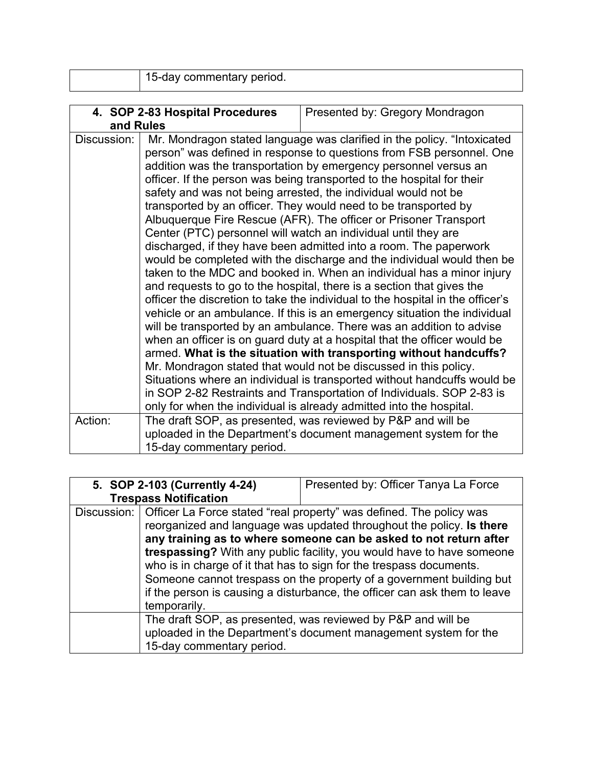| $\Box$ neriod $\Box$<br>Пſ<br>meniarv<br>п.<br>------<br>$\sim$ |
|-----------------------------------------------------------------|
|-----------------------------------------------------------------|

|             | 4. SOP 2-83 Hospital Procedures | Presented by: Gregory Mondragon                                                                                                                                                                                                                                                                                                                                                                                                                                                                                                                                                                                                                                                                                                                                                                                                                                                                                                                                                                                                                                                                                                                                                                                                                                                                                                                                                                                                                                                            |
|-------------|---------------------------------|--------------------------------------------------------------------------------------------------------------------------------------------------------------------------------------------------------------------------------------------------------------------------------------------------------------------------------------------------------------------------------------------------------------------------------------------------------------------------------------------------------------------------------------------------------------------------------------------------------------------------------------------------------------------------------------------------------------------------------------------------------------------------------------------------------------------------------------------------------------------------------------------------------------------------------------------------------------------------------------------------------------------------------------------------------------------------------------------------------------------------------------------------------------------------------------------------------------------------------------------------------------------------------------------------------------------------------------------------------------------------------------------------------------------------------------------------------------------------------------------|
| and Rules   |                                 |                                                                                                                                                                                                                                                                                                                                                                                                                                                                                                                                                                                                                                                                                                                                                                                                                                                                                                                                                                                                                                                                                                                                                                                                                                                                                                                                                                                                                                                                                            |
| Discussion: |                                 | Mr. Mondragon stated language was clarified in the policy. "Intoxicated<br>person" was defined in response to questions from FSB personnel. One<br>addition was the transportation by emergency personnel versus an<br>officer. If the person was being transported to the hospital for their<br>safety and was not being arrested, the individual would not be<br>transported by an officer. They would need to be transported by<br>Albuquerque Fire Rescue (AFR). The officer or Prisoner Transport<br>Center (PTC) personnel will watch an individual until they are<br>discharged, if they have been admitted into a room. The paperwork<br>would be completed with the discharge and the individual would then be<br>taken to the MDC and booked in. When an individual has a minor injury<br>and requests to go to the hospital, there is a section that gives the<br>officer the discretion to take the individual to the hospital in the officer's<br>vehicle or an ambulance. If this is an emergency situation the individual<br>will be transported by an ambulance. There was an addition to advise<br>when an officer is on guard duty at a hospital that the officer would be<br>armed. What is the situation with transporting without handcuffs?<br>Mr. Mondragon stated that would not be discussed in this policy.<br>Situations where an individual is transported without handcuffs would be<br>in SOP 2-82 Restraints and Transportation of Individuals. SOP 2-83 is |
|             |                                 | only for when the individual is already admitted into the hospital.                                                                                                                                                                                                                                                                                                                                                                                                                                                                                                                                                                                                                                                                                                                                                                                                                                                                                                                                                                                                                                                                                                                                                                                                                                                                                                                                                                                                                        |
| Action:     | 15-day commentary period.       | The draft SOP, as presented, was reviewed by P&P and will be<br>uploaded in the Department's document management system for the                                                                                                                                                                                                                                                                                                                                                                                                                                                                                                                                                                                                                                                                                                                                                                                                                                                                                                                                                                                                                                                                                                                                                                                                                                                                                                                                                            |

|             | 5. SOP 2-103 (Currently 4-24)<br><b>Trespass Notification</b> | Presented by: Officer Tanya La Force                                                                                                                                                                                                                                                                                                                                                                                                                                                                                  |
|-------------|---------------------------------------------------------------|-----------------------------------------------------------------------------------------------------------------------------------------------------------------------------------------------------------------------------------------------------------------------------------------------------------------------------------------------------------------------------------------------------------------------------------------------------------------------------------------------------------------------|
| Discussion: | temporarily.                                                  | Officer La Force stated "real property" was defined. The policy was<br>reorganized and language was updated throughout the policy. Is there<br>any training as to where someone can be asked to not return after<br>trespassing? With any public facility, you would have to have someone<br>who is in charge of it that has to sign for the trespass documents.<br>Someone cannot trespass on the property of a government building but<br>if the person is causing a disturbance, the officer can ask them to leave |
|             | 15-day commentary period.                                     | The draft SOP, as presented, was reviewed by P&P and will be<br>uploaded in the Department's document management system for the                                                                                                                                                                                                                                                                                                                                                                                       |